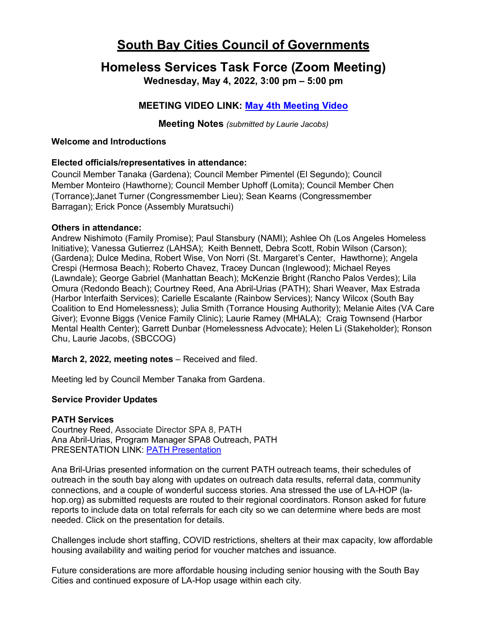# **South Bay Cities Council of Governments**

# **Homeless Services Task Force (Zoom Meeting)**

**Wednesday, May 4, 2022, 3:00 pm – 5:00 pm**

## **MEETING VIDEO LINK: [May 4th Meeting Video](https://www.youtube.com/watch?v=p0iTB3nPKMY)**

**Meeting Notes** *(submitted by Laurie Jacobs)*

#### **Welcome and Introductions**

## **Elected officials/representatives in attendance:**

Council Member Tanaka (Gardena); Council Member Pimentel (El Segundo); Council Member Monteiro (Hawthorne); Council Member Uphoff (Lomita); Council Member Chen (Torrance);Janet Turner (Congressmember Lieu); Sean Kearns (Congressmember Barragan); Erick Ponce (Assembly Muratsuchi)

#### **Others in attendance:**

Andrew Nishimoto (Family Promise); Paul Stansbury (NAMI); Ashlee Oh (Los Angeles Homeless Initiative); Vanessa Gutierrez (LAHSA); Keith Bennett, Debra Scott, Robin Wilson (Carson); (Gardena); Dulce Medina, Robert Wise, Von Norri (St. Margaret's Center, Hawthorne); Angela Crespi (Hermosa Beach); Roberto Chavez, Tracey Duncan (Inglewood); Michael Reyes (Lawndale); George Gabriel (Manhattan Beach); McKenzie Bright (Rancho Palos Verdes); Lila Omura (Redondo Beach); Courtney Reed, Ana Abril-Urias (PATH); Shari Weaver, Max Estrada (Harbor Interfaith Services); Carielle Escalante (Rainbow Services); Nancy Wilcox (South Bay Coalition to End Homelessness); Julia Smith (Torrance Housing Authority); Melanie Aites (VA Care Giver); Evonne Biggs (Venice Family Clinic); Laurie Ramey (MHALA); Craig Townsend (Harbor Mental Health Center); Garrett Dunbar (Homelessness Advocate); Helen Li (Stakeholder); Ronson Chu, Laurie Jacobs, (SBCCOG)

**March 2, 2022, meeting notes – Received and filed.** 

Meeting led by Council Member Tanaka from Gardena.

## **Service Provider Updates**

## **PATH Services**

Courtney Reed, Associate Director SPA 8, PATH Ana Abril-Urias, Program Manager SPA8 Outreach, PATH PRESENTATION LINK: [PATH Presentation](https://southbaycities.org/wp-content/uploads/2022/04/PATH-SBCCOG-Presentation-May-22.pdf)

Ana Bril-Urias presented information on the current PATH outreach teams, their schedules of outreach in the south bay along with updates on outreach data results, referral data, community connections, and a couple of wonderful success stories. Ana stressed the use of LA-HOP (lahop.org) as submitted requests are routed to their regional coordinators. Ronson asked for future reports to include data on total referrals for each city so we can determine where beds are most needed. Click on the presentation for details.

Challenges include short staffing, COVID restrictions, shelters at their max capacity, low affordable housing availability and waiting period for voucher matches and issuance.

Future considerations are more affordable housing including senior housing with the South Bay Cities and continued exposure of LA-Hop usage within each city.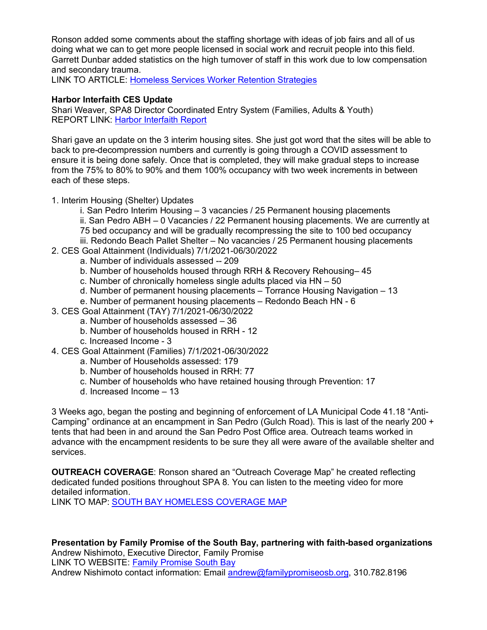Ronson added some comments about the staffing shortage with ideas of job fairs and all of us doing what we can to get more people licensed in social work and recruit people into this field. Garrett Dunbar added statistics on the high turnover of staff in this work due to low compensation and secondary trauma.

LINK TO ARTICLE: [Homeless Services Worker Retention Strategies](https://southbaycities.org/wp-content/uploads/2022/04/Homelessness-Serevices-Worker-Retention_Final.pdf)

#### **Harbor Interfaith CES Update**

Shari Weaver, SPA8 Director Coordinated Entry System (Families, Adults & Youth) REPORT LINK: [Harbor Interfaith Report](https://southbaycities.org/wp-content/uploads/2022/04/Harbor-Interfaith-SBCCOG-Report-Out-5-4-22.pdf)

Shari gave an update on the 3 interim housing sites. She just got word that the sites will be able to back to pre-decompression numbers and currently is going through a COVID assessment to ensure it is being done safely. Once that is completed, they will make gradual steps to increase from the 75% to 80% to 90% and them 100% occupancy with two week increments in between each of these steps.

1. Interim Housing (Shelter) Updates

- i. San Pedro Interim Housing 3 vacancies / 25 Permanent housing placements
- ii. San Pedro ABH 0 Vacancies / 22 Permanent housing placements. We are currently at 75 bed occupancy and will be gradually recompressing the site to 100 bed occupancy
- iii. Redondo Beach Pallet Shelter No vacancies / 25 Permanent housing placements 2. CES Goal Attainment (Individuals) 7/1/2021-06/30/2022
	- a. Number of individuals assessed -- 209
	- b. Number of households housed through RRH & Recovery Rehousing– 45
	- c. Number of chronically homeless single adults placed via HN 50
	- d. Number of permanent housing placements Torrance Housing Navigation 13
	- e. Number of permanent housing placements Redondo Beach HN 6
- 3. CES Goal Attainment (TAY) 7/1/2021-06/30/2022
	- a. Number of households assessed 36
	- b. Number of households housed in RRH 12
	- c. Increased Income 3
- 4. CES Goal Attainment (Families) 7/1/2021-06/30/2022
	- a. Number of Households assessed: 179
	- b. Number of households housed in RRH: 77
	- c. Number of households who have retained housing through Prevention: 17
	- d. Increased Income 13

3 Weeks ago, began the posting and beginning of enforcement of LA Municipal Code 41.18 "Anti-Camping" ordinance at an encampment in San Pedro (Gulch Road). This is last of the nearly 200 + tents that had been in and around the San Pedro Post Office area. Outreach teams worked in advance with the encampment residents to be sure they all were aware of the available shelter and services.

**OUTREACH COVERAGE**: Ronson shared an "Outreach Coverage Map" he created reflecting dedicated funded positions throughout SPA 8. You can listen to the meeting video for more detailed information.

LINK TO MAP: [SOUTH BAY HOMELESS COVERAGE MAP](https://southbaycities.org/wp-content/uploads/2022/04/Coverage-Map.pdf)

**Presentation by Family Promise of the South Bay, partnering with faith-based organizations**  Andrew Nishimoto, Executive Director, Family Promise LINK TO WEBSITE: [Family Promise South Bay](https://www.familypromiseosb.org/) Andrew Nishimoto contact information: Email [andrew@familypromiseosb.org,](mailto:andrew@familypromiseosb.org) 310.782.8196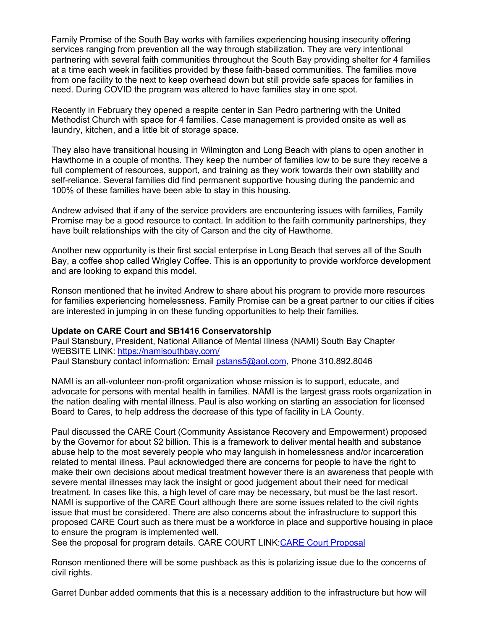Family Promise of the South Bay works with families experiencing housing insecurity offering services ranging from prevention all the way through stabilization. They are very intentional partnering with several faith communities throughout the South Bay providing shelter for 4 families at a time each week in facilities provided by these faith-based communities. The families move from one facility to the next to keep overhead down but still provide safe spaces for families in need. During COVID the program was altered to have families stay in one spot.

Recently in February they opened a respite center in San Pedro partnering with the United Methodist Church with space for 4 families. Case management is provided onsite as well as laundry, kitchen, and a little bit of storage space.

They also have transitional housing in Wilmington and Long Beach with plans to open another in Hawthorne in a couple of months. They keep the number of families low to be sure they receive a full complement of resources, support, and training as they work towards their own stability and self-reliance. Several families did find permanent supportive housing during the pandemic and 100% of these families have been able to stay in this housing.

Andrew advised that if any of the service providers are encountering issues with families, Family Promise may be a good resource to contact. In addition to the faith community partnerships, they have built relationships with the city of Carson and the city of Hawthorne.

Another new opportunity is their first social enterprise in Long Beach that serves all of the South Bay, a coffee shop called Wrigley Coffee. This is an opportunity to provide workforce development and are looking to expand this model.

Ronson mentioned that he invited Andrew to share about his program to provide more resources for families experiencing homelessness. Family Promise can be a great partner to our cities if cities are interested in jumping in on these funding opportunities to help their families.

#### **Update on CARE Court and SB1416 Conservatorship**

Paul Stansbury, President, National Alliance of Mental Illness (NAMI) South Bay Chapter WEBSITE LINK:<https://namisouthbay.com/> Paul Stansbury contact information: Email [pstans5@aol.com,](mailto:pstans5@aol.com) Phone 310.892.8046

NAMI is an all-volunteer non-profit organization whose mission is to support, educate, and advocate for persons with mental health in families. NAMI is the largest grass roots organization in the nation dealing with mental illness. Paul is also working on starting an association for licensed Board to Cares, to help address the decrease of this type of facility in LA County.

Paul discussed the CARE Court (Community Assistance Recovery and Empowerment) proposed by the Governor for about \$2 billion. This is a framework to deliver mental health and substance abuse help to the most severely people who may languish in homelessness and/or incarceration related to mental illness. Paul acknowledged there are concerns for people to have the right to make their own decisions about medical treatment however there is an awareness that people with severe mental illnesses may lack the insight or good judgement about their need for medical treatment. In cases like this, a high level of care may be necessary, but must be the last resort. NAMI is supportive of the CARE Court although there are some issues related to the civil rights issue that must be considered. There are also concerns about the infrastructure to support this proposed CARE Court such as there must be a workforce in place and supportive housing in place to ensure the program is implemented well.

See the proposal for program details. CARE COURT LINK: CARE Court Proposal

Ronson mentioned there will be some pushback as this is polarizing issue due to the concerns of civil rights.

Garret Dunbar added comments that this is a necessary addition to the infrastructure but how will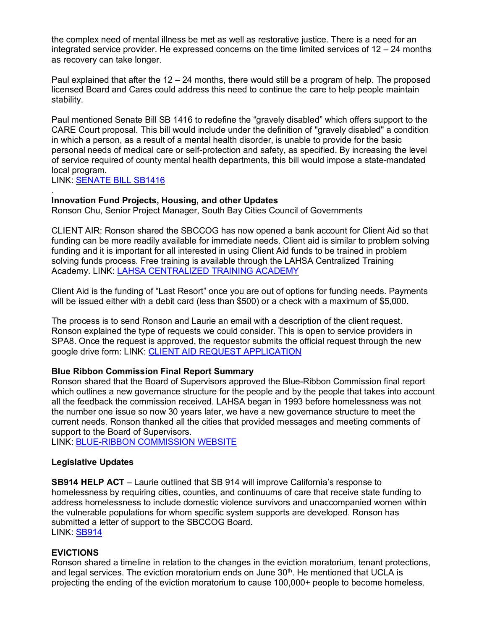the complex need of mental illness be met as well as restorative justice. There is a need for an integrated service provider. He expressed concerns on the time limited services of 12 – 24 months as recovery can take longer.

Paul explained that after the 12 – 24 months, there would still be a program of help. The proposed licensed Board and Cares could address this need to continue the care to help people maintain stability.

Paul mentioned Senate Bill SB 1416 to redefine the "gravely disabled" which offers support to the CARE Court proposal. This bill would include under the definition of "gravely disabled" a condition in which a person, as a result of a mental health disorder, is unable to provide for the basic personal needs of medical care or self-protection and safety, as specified. By increasing the level of service required of county mental health departments, this bill would impose a state-mandated local program.

LINK: [SENATE BILL SB1416](https://openstates.org/ca/bills/20212022/SB1416/)

#### . **Innovation Fund Projects, Housing, and other Updates**

Ronson Chu, Senior Project Manager, South Bay Cities Council of Governments

CLIENT AIR: Ronson shared the SBCCOG has now opened a bank account for Client Aid so that funding can be more readily available for immediate needs. Client aid is similar to problem solving funding and it is important for all interested in using Client Aid funds to be trained in problem solving funds process. Free training is available through the LAHSA Centralized Training Academy. LINK: [LAHSA CENTRALIZED TRAINING ACADEMY](https://lahsa.configio.com/)

Client Aid is the funding of "Last Resort" once you are out of options for funding needs. Payments will be issued either with a debit card (less than \$500) or a check with a maximum of \$5,000.

The process is to send Ronson and Laurie an email with a description of the client request. Ronson explained the type of requests we could consider. This is open to service providers in SPA8. Once the request is approved, the requestor submits the official request through the new google drive form: LINK: [CLIENT AID REQUEST APPLICATION](https://docs.google.com/forms/d/e/1FAIpQLScsBckIGeWuFp5L82QAKihoLKSR4_8gvsXYzqH48Ct2F5im3Q/viewform)

#### **Blue Ribbon Commission Final Report Summary**

Ronson shared that the Board of Supervisors approved the Blue-Ribbon Commission final report which outlines a new governance structure for the people and by the people that takes into account all the feedback the commission received. LAHSA began in 1993 before homelessness was not the number one issue so now 30 years later, we have a new governance structure to meet the current needs. Ronson thanked all the cities that provided messages and meeting comments of support to the Board of Supervisors.

LINK: [BLUE-RIBBON COMMISSION WEBSITE](https://brch.lacounty.gov/LinkClick.aspx?fileticket=CCOPLGkNEOU%3D&portalid=43&utm_content=&utm_medium=email&utm_name=&utm_source=govdelivery&utm_term=)

## **Legislative Updates**

**SB914 HELP ACT** – Laurie outlined that SB 914 will improve California's response to homelessness by requiring cities, counties, and continuums of care that receive state funding to address homelessness to include domestic violence survivors and unaccompanied women within the vulnerable populations for whom specific system supports are developed. Ronson has submitted a letter of support to the SBCCOG Board. LINK: [SB914](https://trackbill.com/bill/california-senate-bill-914-help-act/2216449/)

#### **EVICTIONS**

Ronson shared a timeline in relation to the changes in the eviction moratorium, tenant protections, and legal services. The eviction moratorium ends on June  $30<sup>th</sup>$ . He mentioned that UCLA is projecting the ending of the eviction moratorium to cause 100,000+ people to become homeless.